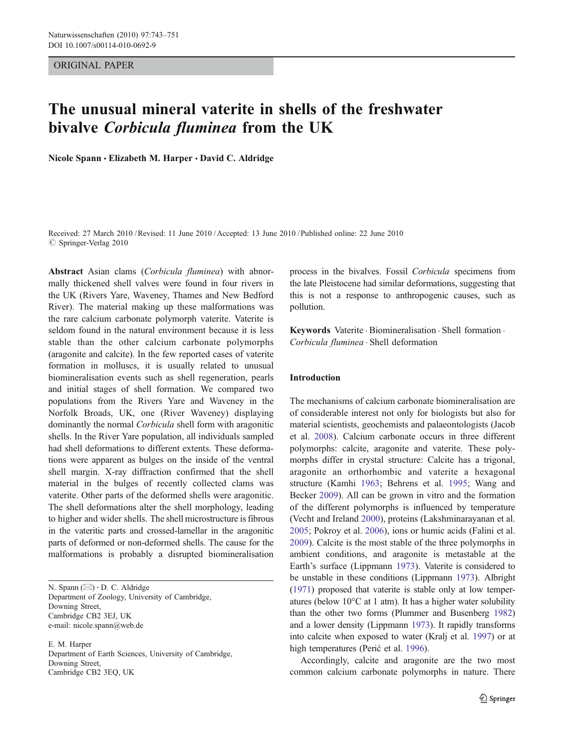## ORIGINAL PAPER

# The unusual mineral vaterite in shells of the freshwater bivalve Corbicula fluminea from the UK

Nicole Spann · Elizabeth M. Harper · David C. Aldridge

Received: 27 March 2010 /Revised: 11 June 2010 /Accepted: 13 June 2010 / Published online: 22 June 2010  $\circ$  Springer-Verlag 2010

Abstract Asian clams (Corbicula fluminea) with abnormally thickened shell valves were found in four rivers in the UK (Rivers Yare, Waveney, Thames and New Bedford River). The material making up these malformations was the rare calcium carbonate polymorph vaterite. Vaterite is seldom found in the natural environment because it is less stable than the other calcium carbonate polymorphs (aragonite and calcite). In the few reported cases of vaterite formation in molluscs, it is usually related to unusual biomineralisation events such as shell regeneration, pearls and initial stages of shell formation. We compared two populations from the Rivers Yare and Waveney in the Norfolk Broads, UK, one (River Waveney) displaying dominantly the normal Corbicula shell form with aragonitic shells. In the River Yare population, all individuals sampled had shell deformations to different extents. These deformations were apparent as bulges on the inside of the ventral shell margin. X-ray diffraction confirmed that the shell material in the bulges of recently collected clams was vaterite. Other parts of the deformed shells were aragonitic. The shell deformations alter the shell morphology, leading to higher and wider shells. The shell microstructure is fibrous in the vateritic parts and crossed-lamellar in the aragonitic parts of deformed or non-deformed shells. The cause for the malformations is probably a disrupted biomineralisation

N. Spann (⊠) · D. C. Aldridge Department of Zoology, University of Cambridge, Downing Street, Cambridge CB2 3EJ, UK e-mail: nicole.spann@web.de

E. M. Harper Department of Earth Sciences, University of Cambridge, Downing Street, Cambridge CB2 3EQ, UK

process in the bivalves. Fossil Corbicula specimens from the late Pleistocene had similar deformations, suggesting that this is not a response to anthropogenic causes, such as pollution.

Keywords Vaterite . Biomineralisation . Shell formation . Corbicula fluminea . Shell deformation

## Introduction

The mechanisms of calcium carbonate biomineralisation are of considerable interest not only for biologists but also for material scientists, geochemists and palaeontologists (Jacob et al. [2008](#page-7-0)). Calcium carbonate occurs in three different polymorphs: calcite, aragonite and vaterite. These polymorphs differ in crystal structure: Calcite has a trigonal, aragonite an orthorhombic and vaterite a hexagonal structure (Kamhi [1963](#page-7-0); Behrens et al. [1995;](#page-6-0) Wang and Becker [2009](#page-8-0)). All can be grown in vitro and the formation of the different polymorphs is influenced by temperature (Vecht and Ireland [2000\)](#page-8-0), proteins (Lakshminarayanan et al. [2005](#page-7-0); Pokroy et al. [2006\)](#page-7-0), ions or humic acids (Falini et al. [2009](#page-7-0)). Calcite is the most stable of the three polymorphs in ambient conditions, and aragonite is metastable at the Earth's surface (Lippmann [1973\)](#page-7-0). Vaterite is considered to be unstable in these conditions (Lippmann [1973](#page-7-0)). Albright [\(1971\)](#page-6-0) proposed that vaterite is stable only at low temperatures (below 10°C at 1 atm). It has a higher water solubility than the other two forms (Plummer and Busenberg [1982](#page-7-0)) and a lower density (Lippmann [1973](#page-7-0)). It rapidly transforms into calcite when exposed to water (Kralj et al. [1997\)](#page-7-0) or at high temperatures (Perić et al. [1996\)](#page-7-0).

Accordingly, calcite and aragonite are the two most common calcium carbonate polymorphs in nature. There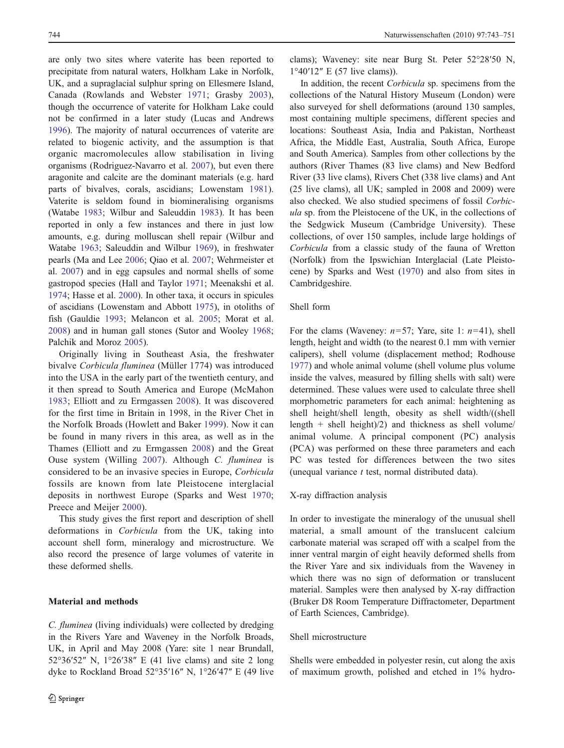are only two sites where vaterite has been reported to precipitate from natural waters, Holkham Lake in Norfolk, UK, and a supraglacial sulphur spring on Ellesmere Island, Canada (Rowlands and Webster [1971](#page-8-0); Grasby [2003](#page-7-0)), though the occurrence of vaterite for Holkham Lake could not be confirmed in a later study (Lucas and Andrews [1996\)](#page-7-0). The majority of natural occurrences of vaterite are related to biogenic activity, and the assumption is that organic macromolecules allow stabilisation in living organisms (Rodriguez-Navarro et al. [2007](#page-8-0)), but even there aragonite and calcite are the dominant materials (e.g. hard parts of bivalves, corals, ascidians; Lowenstam [1981](#page-7-0)). Vaterite is seldom found in biomineralising organisms (Watabe [1983](#page-8-0); Wilbur and Saleuddin [1983](#page-8-0)). It has been reported in only a few instances and there in just low amounts, e.g. during molluscan shell repair (Wilbur and Watabe [1963;](#page-8-0) Saleuddin and Wilbur [1969\)](#page-8-0), in freshwater pearls (Ma and Lee [2006](#page-7-0); Qiao et al. [2007](#page-8-0); Wehrmeister et al. [2007\)](#page-8-0) and in egg capsules and normal shells of some gastropod species (Hall and Taylor [1971](#page-7-0); Meenakshi et al. [1974;](#page-7-0) Hasse et al. [2000](#page-7-0)). In other taxa, it occurs in spicules of ascidians (Lowenstam and Abbott [1975](#page-7-0)), in otoliths of fish (Gauldie [1993;](#page-7-0) Melancon et al. [2005](#page-7-0); Morat et al. [2008\)](#page-7-0) and in human gall stones (Sutor and Wooley [1968](#page-8-0); Palchik and Moroz [2005](#page-7-0)).

Originally living in Southeast Asia, the freshwater bivalve Corbicula fluminea (Müller 1774) was introduced into the USA in the early part of the twentieth century, and it then spread to South America and Europe (McMahon [1983](#page-7-0); Elliott and zu Ermgassen [2008\)](#page-7-0). It was discovered for the first time in Britain in 1998, in the River Chet in the Norfolk Broads (Howlett and Baker [1999\)](#page-7-0). Now it can be found in many rivers in this area, as well as in the Thames (Elliott and zu Ermgassen [2008\)](#page-7-0) and the Great Ouse system (Willing [2007\)](#page-8-0). Although C. fluminea is considered to be an invasive species in Europe, Corbicula fossils are known from late Pleistocene interglacial deposits in northwest Europe (Sparks and West [1970](#page-8-0); Preece and Meijer [2000](#page-8-0)).

This study gives the first report and description of shell deformations in Corbicula from the UK, taking into account shell form, mineralogy and microstructure. We also record the presence of large volumes of vaterite in these deformed shells.

# Material and methods

C. fluminea (living individuals) were collected by dredging in the Rivers Yare and Waveney in the Norfolk Broads, UK, in April and May 2008 (Yare: site 1 near Brundall, 52°36′52″ N, 1°26′38″ E (41 live clams) and site 2 long dyke to Rockland Broad 52°35′16″ N, 1°26′47″ E (49 live clams); Waveney: site near Burg St. Peter 52°28′50 N, 1°40′12″ E (57 live clams)).

In addition, the recent Corbicula sp. specimens from the collections of the Natural History Museum (London) were also surveyed for shell deformations (around 130 samples, most containing multiple specimens, different species and locations: Southeast Asia, India and Pakistan, Northeast Africa, the Middle East, Australia, South Africa, Europe and South America). Samples from other collections by the authors (River Thames (83 live clams) and New Bedford River (33 live clams), Rivers Chet (338 live clams) and Ant (25 live clams), all UK; sampled in 2008 and 2009) were also checked. We also studied specimens of fossil Corbicula sp. from the Pleistocene of the UK, in the collections of the Sedgwick Museum (Cambridge University). These collections, of over 150 samples, include large holdings of Corbicula from a classic study of the fauna of Wretton (Norfolk) from the Ipswichian Interglacial (Late Pleistocene) by Sparks and West ([1970\)](#page-8-0) and also from sites in Cambridgeshire.

## Shell form

For the clams (Waveney:  $n=57$ ; Yare, site 1:  $n=41$ ), shell length, height and width (to the nearest 0.1 mm with vernier calipers), shell volume (displacement method; Rodhouse [1977](#page-8-0)) and whole animal volume (shell volume plus volume inside the valves, measured by filling shells with salt) were determined. These values were used to calculate three shell morphometric parameters for each animal: heightening as shell height/shell length, obesity as shell width/((shell length + shell height)/2) and thickness as shell volume/ animal volume. A principal component (PC) analysis (PCA) was performed on these three parameters and each PC was tested for differences between the two sites (unequal variance  $t$  test, normal distributed data).

#### X-ray diffraction analysis

In order to investigate the mineralogy of the unusual shell material, a small amount of the translucent calcium carbonate material was scraped off with a scalpel from the inner ventral margin of eight heavily deformed shells from the River Yare and six individuals from the Waveney in which there was no sign of deformation or translucent material. Samples were then analysed by X-ray diffraction (Bruker D8 Room Temperature Diffractometer, Department of Earth Sciences, Cambridge).

## Shell microstructure

Shells were embedded in polyester resin, cut along the axis of maximum growth, polished and etched in 1% hydro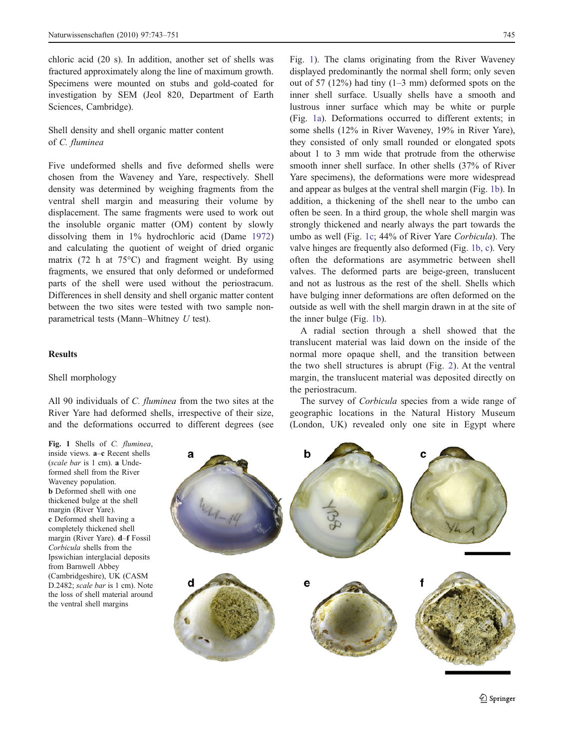<span id="page-2-0"></span>chloric acid (20 s). In addition, another set of shells was fractured approximately along the line of maximum growth. Specimens were mounted on stubs and gold-coated for investigation by SEM (Jeol 820, Department of Earth Sciences, Cambridge).

Shell density and shell organic matter content of C. fluminea

Five undeformed shells and five deformed shells were chosen from the Waveney and Yare, respectively. Shell density was determined by weighing fragments from the ventral shell margin and measuring their volume by displacement. The same fragments were used to work out the insoluble organic matter (OM) content by slowly dissolving them in 1% hydrochloric acid (Dame [1972\)](#page-7-0) and calculating the quotient of weight of dried organic matrix (72 h at 75°C) and fragment weight. By using fragments, we ensured that only deformed or undeformed parts of the shell were used without the periostracum. Differences in shell density and shell organic matter content between the two sites were tested with two sample nonparametrical tests (Mann–Whitney U test).

## Results

#### Shell morphology

All 90 individuals of C. fluminea from the two sites at the River Yare had deformed shells, irrespective of their size, and the deformations occurred to different degrees (see Fig. 1). The clams originating from the River Waveney displayed predominantly the normal shell form; only seven out of 57 (12%) had tiny (1–3 mm) deformed spots on the inner shell surface. Usually shells have a smooth and lustrous inner surface which may be white or purple (Fig. 1a). Deformations occurred to different extents; in some shells (12% in River Waveney, 19% in River Yare), they consisted of only small rounded or elongated spots about 1 to 3 mm wide that protrude from the otherwise smooth inner shell surface. In other shells (37% of River Yare specimens), the deformations were more widespread and appear as bulges at the ventral shell margin (Fig. 1b). In addition, a thickening of the shell near to the umbo can often be seen. In a third group, the whole shell margin was strongly thickened and nearly always the part towards the umbo as well (Fig. 1c; 44% of River Yare Corbicula). The valve hinges are frequently also deformed (Fig. 1b, c). Very often the deformations are asymmetric between shell valves. The deformed parts are beige-green, translucent and not as lustrous as the rest of the shell. Shells which have bulging inner deformations are often deformed on the outside as well with the shell margin drawn in at the site of the inner bulge (Fig. 1b).

A radial section through a shell showed that the translucent material was laid down on the inside of the normal more opaque shell, and the transition between the two shell structures is abrupt (Fig. [2\)](#page-3-0). At the ventral margin, the translucent material was deposited directly on the periostracum.

The survey of Corbicula species from a wide range of geographic locations in the Natural History Museum (London, UK) revealed only one site in Egypt where

Fig. 1 Shells of C. fluminea, inside views. a–c Recent shells (scale bar is 1 cm). a Undeformed shell from the River Waveney population. b Deformed shell with one thickened bulge at the shell margin (River Yare). c Deformed shell having a completely thickened shell margin (River Yare). d–f Fossil Corbicula shells from the Ipswichian interglacial deposits from Barnwell Abbey (Cambridgeshire), UK (CASM D.2482; scale bar is 1 cm). Note the loss of shell material around the ventral shell margins

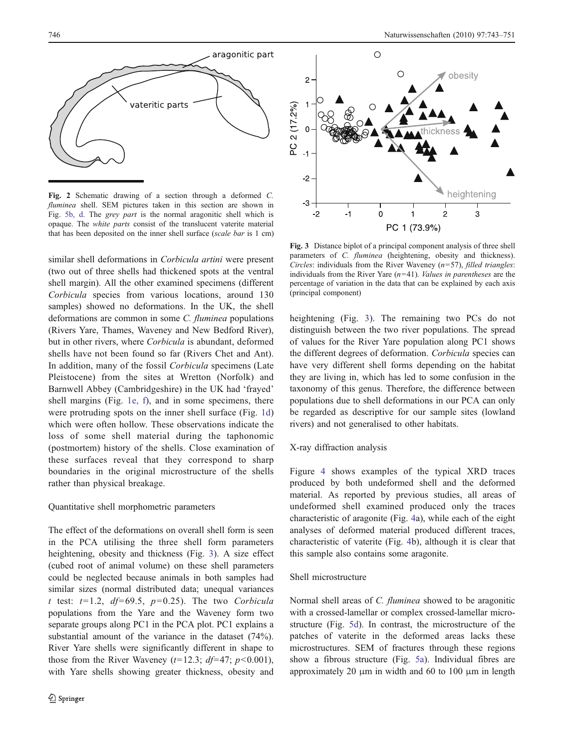<span id="page-3-0"></span>

Fig. 2 Schematic drawing of a section through a deformed C. fluminea shell. SEM pictures taken in this section are shown in Fig. [5b, d.](#page-5-0) The grey part is the normal aragonitic shell which is opaque. The white parts consist of the translucent vaterite material that has been deposited on the inner shell surface (scale bar is 1 cm)

similar shell deformations in Corbicula artini were present (two out of three shells had thickened spots at the ventral shell margin). All the other examined specimens (different Corbicula species from various locations, around 130 samples) showed no deformations. In the UK, the shell deformations are common in some C. fluminea populations (Rivers Yare, Thames, Waveney and New Bedford River), but in other rivers, where Corbicula is abundant, deformed shells have not been found so far (Rivers Chet and Ant). In addition, many of the fossil Corbicula specimens (Late Pleistocene) from the sites at Wretton (Norfolk) and Barnwell Abbey (Cambridgeshire) in the UK had 'frayed' shell margins (Fig. [1e, f\)](#page-2-0), and in some specimens, there were protruding spots on the inner shell surface (Fig. [1d\)](#page-2-0) which were often hollow. These observations indicate the loss of some shell material during the taphonomic (postmortem) history of the shells. Close examination of these surfaces reveal that they correspond to sharp boundaries in the original microstructure of the shells rather than physical breakage.

## Quantitative shell morphometric parameters

The effect of the deformations on overall shell form is seen in the PCA utilising the three shell form parameters heightening, obesity and thickness (Fig. 3). A size effect (cubed root of animal volume) on these shell parameters could be neglected because animals in both samples had similar sizes (normal distributed data; unequal variances t test:  $t=1.2$ ,  $df=69.5$ ,  $p=0.25$ ). The two Corbicula populations from the Yare and the Waveney form two separate groups along PC1 in the PCA plot. PC1 explains a substantial amount of the variance in the dataset (74%). River Yare shells were significantly different in shape to those from the River Waveney ( $t=12.3$ ;  $df=47$ ;  $p<0.001$ ), with Yare shells showing greater thickness, obesity and



Fig. 3 Distance biplot of a principal component analysis of three shell parameters of C. fluminea (heightening, obesity and thickness). Circles: individuals from the River Waveney  $(n=57)$ , filled triangles: individuals from the River Yare  $(n=41)$ . *Values in parentheses* are the percentage of variation in the data that can be explained by each axis (principal component)

heightening (Fig. 3). The remaining two PCs do not distinguish between the two river populations. The spread of values for the River Yare population along PC1 shows the different degrees of deformation. Corbicula species can have very different shell forms depending on the habitat they are living in, which has led to some confusion in the taxonomy of this genus. Therefore, the difference between populations due to shell deformations in our PCA can only be regarded as descriptive for our sample sites (lowland rivers) and not generalised to other habitats.

## X-ray diffraction analysis

Figure [4](#page-4-0) shows examples of the typical XRD traces produced by both undeformed shell and the deformed material. As reported by previous studies, all areas of undeformed shell examined produced only the traces characteristic of aragonite (Fig. [4](#page-4-0)a), while each of the eight analyses of deformed material produced different traces, characteristic of vaterite (Fig. [4b](#page-4-0)), although it is clear that this sample also contains some aragonite.

## Shell microstructure

Normal shell areas of C. fluminea showed to be aragonitic with a crossed-lamellar or complex crossed-lamellar microstructure (Fig. [5d\)](#page-5-0). In contrast, the microstructure of the patches of vaterite in the deformed areas lacks these microstructures. SEM of fractures through these regions show a fibrous structure (Fig. [5a](#page-5-0)). Individual fibres are approximately 20 μm in width and 60 to 100 μm in length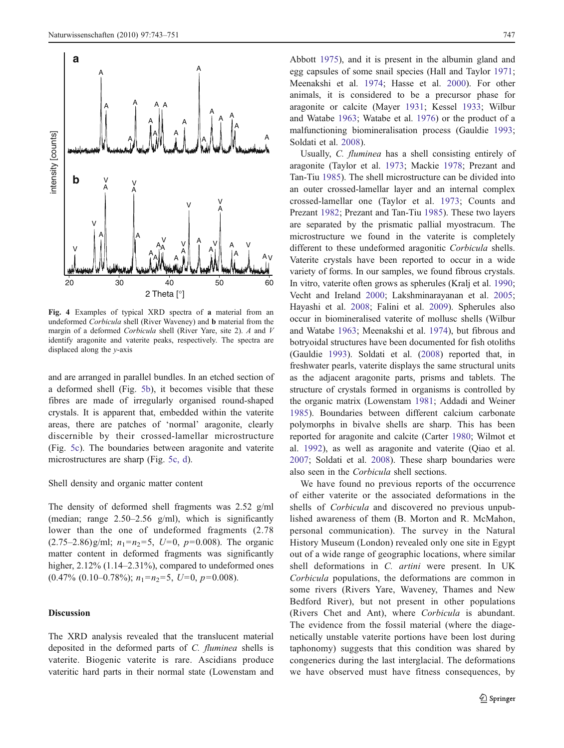<span id="page-4-0"></span>

Fig. 4 Examples of typical XRD spectra of a material from an undeformed Corbicula shell (River Waveney) and b material from the margin of a deformed Corbicula shell (River Yare, site 2). A and V identify aragonite and vaterite peaks, respectively. The spectra are displaced along the y-axis

and are arranged in parallel bundles. In an etched section of a deformed shell (Fig. [5b](#page-5-0)), it becomes visible that these fibres are made of irregularly organised round-shaped crystals. It is apparent that, embedded within the vaterite areas, there are patches of 'normal' aragonite, clearly discernible by their crossed-lamellar microstructure (Fig. [5c\)](#page-5-0). The boundaries between aragonite and vaterite microstructures are sharp (Fig. [5c, d\)](#page-5-0).

#### Shell density and organic matter content

The density of deformed shell fragments was 2.52 g/ml (median; range  $2.50-2.56$  g/ml), which is significantly lower than the one of undeformed fragments (2.78  $(2.75-2.86)$ g/ml;  $n_1=n_2=5$ ,  $U=0$ ,  $p=0.008$ ). The organic matter content in deformed fragments was significantly higher,  $2.12\%$  (1.14–2.31%), compared to undeformed ones  $(0.47\% \ (0.10-0.78\%); n_1=n_2=5, U=0, p=0.008).$ 

## Discussion

The XRD analysis revealed that the translucent material deposited in the deformed parts of C. fluminea shells is vaterite. Biogenic vaterite is rare. Ascidians produce vateritic hard parts in their normal state (Lowenstam and

Abbott [1975\)](#page-7-0), and it is present in the albumin gland and egg capsules of some snail species (Hall and Taylor [1971;](#page-7-0) Meenakshi et al. [1974;](#page-7-0) Hasse et al. [2000](#page-7-0)). For other animals, it is considered to be a precursor phase for aragonite or calcite (Mayer [1931](#page-7-0); Kessel [1933](#page-7-0); Wilbur and Watabe [1963](#page-8-0); Watabe et al. [1976](#page-8-0)) or the product of a malfunctioning biomineralisation process (Gauldie [1993;](#page-7-0) Soldati et al. [2008\)](#page-8-0).

Usually, C. fluminea has a shell consisting entirely of aragonite (Taylor et al. [1973;](#page-8-0) Mackie [1978](#page-7-0); Prezant and Tan-Tiu [1985](#page-8-0)). The shell microstructure can be divided into an outer crossed-lamellar layer and an internal complex crossed-lamellar one (Taylor et al. [1973;](#page-8-0) Counts and Prezant [1982;](#page-7-0) Prezant and Tan-Tiu [1985\)](#page-8-0). These two layers are separated by the prismatic pallial myostracum. The microstructure we found in the vaterite is completely different to these undeformed aragonitic Corbicula shells. Vaterite crystals have been reported to occur in a wide variety of forms. In our samples, we found fibrous crystals. In vitro, vaterite often grows as spherules (Kralj et al. [1990;](#page-7-0) Vecht and Ireland [2000](#page-8-0); Lakshminarayanan et al. [2005;](#page-7-0) Hayashi et al. [2008;](#page-7-0) Falini et al. [2009](#page-7-0)). Spherules also occur in biomineralised vaterite of mollusc shells (Wilbur and Watabe [1963;](#page-8-0) Meenakshi et al. [1974](#page-7-0)), but fibrous and botryoidal structures have been documented for fish otoliths (Gauldie [1993\)](#page-7-0). Soldati et al. ([2008\)](#page-8-0) reported that, in freshwater pearls, vaterite displays the same structural units as the adjacent aragonite parts, prisms and tablets. The structure of crystals formed in organisms is controlled by the organic matrix (Lowenstam [1981](#page-7-0); Addadi and Weiner [1985](#page-6-0)). Boundaries between different calcium carbonate polymorphs in bivalve shells are sharp. This has been reported for aragonite and calcite (Carter [1980](#page-7-0); Wilmot et al. [1992\)](#page-8-0), as well as aragonite and vaterite (Qiao et al. [2007](#page-8-0); Soldati et al. [2008](#page-8-0)). These sharp boundaries were also seen in the Corbicula shell sections.

We have found no previous reports of the occurrence of either vaterite or the associated deformations in the shells of Corbicula and discovered no previous unpublished awareness of them (B. Morton and R. McMahon, personal communication). The survey in the Natural History Museum (London) revealed only one site in Egypt out of a wide range of geographic locations, where similar shell deformations in C. artini were present. In UK Corbicula populations, the deformations are common in some rivers (Rivers Yare, Waveney, Thames and New Bedford River), but not present in other populations (Rivers Chet and Ant), where Corbicula is abundant. The evidence from the fossil material (where the diagenetically unstable vaterite portions have been lost during taphonomy) suggests that this condition was shared by congenerics during the last interglacial. The deformations we have observed must have fitness consequences, by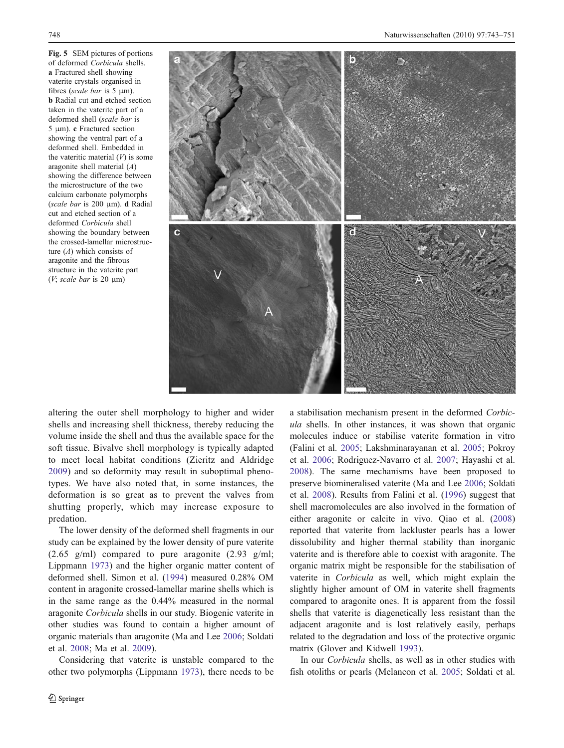<span id="page-5-0"></span>Fig. 5 SEM pictures of portions of deformed Corbicula shells. a Fractured shell showing vaterite crystals organised in fibres (scale bar is  $5 \mu$ m). b Radial cut and etched section taken in the vaterite part of a deformed shell (scale bar is 5 μm). c Fractured section showing the ventral part of a deformed shell. Embedded in the vateritic material  $(V)$  is some aragonite shell material (A) showing the difference between the microstructure of the two calcium carbonate polymorphs (scale bar is 200 μm). d Radial cut and etched section of a deformed Corbicula shell showing the boundary between the crossed-lamellar microstructure  $(A)$  which consists of aragonite and the fibrous structure in the vaterite part ( $V$ ; scale bar is 20  $\mu$ m)



altering the outer shell morphology to higher and wider shells and increasing shell thickness, thereby reducing the volume inside the shell and thus the available space for the soft tissue. Bivalve shell morphology is typically adapted to meet local habitat conditions (Zieritz and Aldridge [2009](#page-8-0)) and so deformity may result in suboptimal phenotypes. We have also noted that, in some instances, the deformation is so great as to prevent the valves from shutting properly, which may increase exposure to predation.

The lower density of the deformed shell fragments in our study can be explained by the lower density of pure vaterite  $(2.65 \text{ g/ml})$  compared to pure aragonite  $(2.93 \text{ g/ml})$ ; Lippmann [1973\)](#page-7-0) and the higher organic matter content of deformed shell. Simon et al. ([1994\)](#page-8-0) measured 0.28% OM content in aragonite crossed-lamellar marine shells which is in the same range as the 0.44% measured in the normal aragonite Corbicula shells in our study. Biogenic vaterite in other studies was found to contain a higher amount of organic materials than aragonite (Ma and Lee [2006;](#page-7-0) Soldati et al. [2008](#page-8-0); Ma et al. [2009\)](#page-7-0).

Considering that vaterite is unstable compared to the other two polymorphs (Lippmann [1973\)](#page-7-0), there needs to be a stabilisation mechanism present in the deformed Corbicula shells. In other instances, it was shown that organic molecules induce or stabilise vaterite formation in vitro (Falini et al. [2005;](#page-7-0) Lakshminarayanan et al. [2005](#page-7-0); Pokroy et al. [2006](#page-7-0); Rodriguez-Navarro et al. [2007](#page-8-0); Hayashi et al. [2008](#page-7-0)). The same mechanisms have been proposed to preserve biomineralised vaterite (Ma and Lee [2006;](#page-7-0) Soldati et al. [2008](#page-8-0)). Results from Falini et al. [\(1996](#page-7-0)) suggest that shell macromolecules are also involved in the formation of either aragonite or calcite in vivo. Qiao et al. [\(2008](#page-8-0)) reported that vaterite from lackluster pearls has a lower dissolubility and higher thermal stability than inorganic vaterite and is therefore able to coexist with aragonite. The organic matrix might be responsible for the stabilisation of vaterite in Corbicula as well, which might explain the slightly higher amount of OM in vaterite shell fragments compared to aragonite ones. It is apparent from the fossil shells that vaterite is diagenetically less resistant than the adjacent aragonite and is lost relatively easily, perhaps related to the degradation and loss of the protective organic matrix (Glover and Kidwell [1993\)](#page-7-0).

In our Corbicula shells, as well as in other studies with fish otoliths or pearls (Melancon et al. [2005](#page-7-0); Soldati et al.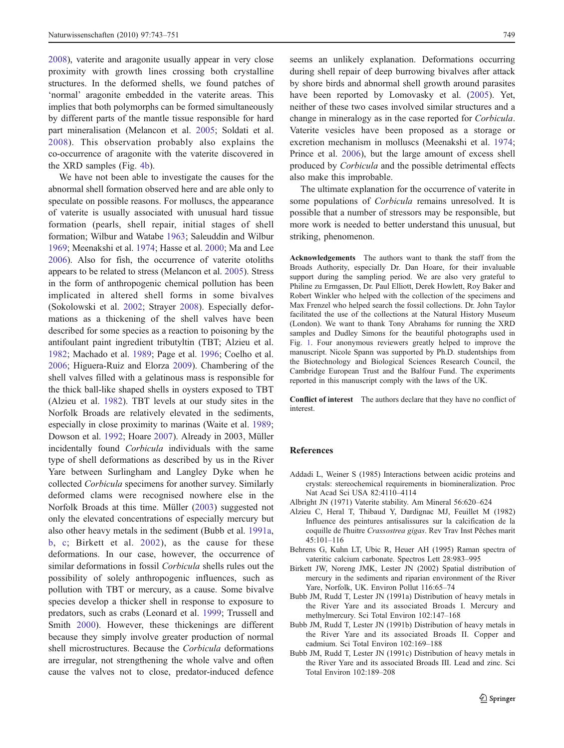<span id="page-6-0"></span>[2008\)](#page-8-0), vaterite and aragonite usually appear in very close proximity with growth lines crossing both crystalline structures. In the deformed shells, we found patches of 'normal' aragonite embedded in the vaterite areas. This implies that both polymorphs can be formed simultaneously by different parts of the mantle tissue responsible for hard part mineralisation (Melancon et al. [2005;](#page-7-0) Soldati et al. [2008](#page-8-0)). This observation probably also explains the co-occurrence of aragonite with the vaterite discovered in the XRD samples (Fig. [4b\)](#page-4-0).

We have not been able to investigate the causes for the abnormal shell formation observed here and are able only to speculate on possible reasons. For molluscs, the appearance of vaterite is usually associated with unusual hard tissue formation (pearls, shell repair, initial stages of shell formation; Wilbur and Watabe [1963;](#page-8-0) Saleuddin and Wilbur [1969;](#page-8-0) Meenakshi et al. [1974;](#page-7-0) Hasse et al. [2000;](#page-7-0) Ma and Lee [2006\)](#page-7-0). Also for fish, the occurrence of vaterite otoliths appears to be related to stress (Melancon et al. [2005](#page-7-0)). Stress in the form of anthropogenic chemical pollution has been implicated in altered shell forms in some bivalves (Sokolowski et al. [2002](#page-8-0); Strayer [2008\)](#page-8-0). Especially deformations as a thickening of the shell valves have been described for some species as a reaction to poisoning by the antifoulant paint ingredient tributyltin (TBT; Alzieu et al. 1982; Machado et al. [1989](#page-7-0); Page et al. [1996](#page-7-0); Coelho et al. [2006;](#page-7-0) Higuera-Ruiz and Elorza [2009\)](#page-7-0). Chambering of the shell valves filled with a gelatinous mass is responsible for the thick ball-like shaped shells in oysters exposed to TBT (Alzieu et al. 1982). TBT levels at our study sites in the Norfolk Broads are relatively elevated in the sediments, especially in close proximity to marinas (Waite et al. [1989](#page-8-0); Dowson et al. [1992;](#page-7-0) Hoare [2007\)](#page-7-0). Already in 2003, Müller incidentally found Corbicula individuals with the same type of shell deformations as described by us in the River Yare between Surlingham and Langley Dyke when he collected Corbicula specimens for another survey. Similarly deformed clams were recognised nowhere else in the Norfolk Broads at this time. Müller [\(2003](#page-7-0)) suggested not only the elevated concentrations of especially mercury but also other heavy metals in the sediment (Bubb et al. 1991a, b, c; Birkett et al. 2002), as the cause for these deformations. In our case, however, the occurrence of similar deformations in fossil Corbicula shells rules out the possibility of solely anthropogenic influences, such as pollution with TBT or mercury, as a cause. Some bivalve species develop a thicker shell in response to exposure to predators, such as crabs (Leonard et al. [1999;](#page-7-0) Trussell and Smith [2000](#page-8-0)). However, these thickenings are different because they simply involve greater production of normal shell microstructures. Because the Corbicula deformations are irregular, not strengthening the whole valve and often cause the valves not to close, predator-induced defence

seems an unlikely explanation. Deformations occurring during shell repair of deep burrowing bivalves after attack by shore birds and abnormal shell growth around parasites have been reported by Lomovasky et al. ([2005\)](#page-7-0). Yet, neither of these two cases involved similar structures and a change in mineralogy as in the case reported for Corbicula. Vaterite vesicles have been proposed as a storage or excretion mechanism in molluscs (Meenakshi et al. [1974;](#page-7-0) Prince et al. [2006](#page-8-0)), but the large amount of excess shell produced by Corbicula and the possible detrimental effects also make this improbable.

The ultimate explanation for the occurrence of vaterite in some populations of Corbicula remains unresolved. It is possible that a number of stressors may be responsible, but more work is needed to better understand this unusual, but striking, phenomenon.

Acknowledgements The authors want to thank the staff from the Broads Authority, especially Dr. Dan Hoare, for their invaluable support during the sampling period. We are also very grateful to Philine zu Ermgassen, Dr. Paul Elliott, Derek Howlett, Roy Baker and Robert Winkler who helped with the collection of the specimens and Max Frenzel who helped search the fossil collections. Dr. John Taylor facilitated the use of the collections at the Natural History Museum (London). We want to thank Tony Abrahams for running the XRD samples and Dudley Simons for the beautiful photographs used in Fig. [1](#page-2-0). Four anonymous reviewers greatly helped to improve the manuscript. Nicole Spann was supported by Ph.D. studentships from the Biotechnology and Biological Sciences Research Council, the Cambridge European Trust and the Balfour Fund. The experiments reported in this manuscript comply with the laws of the UK.

Conflict of interest The authors declare that they have no conflict of interest.

#### References

- Addadi L, Weiner S (1985) Interactions between acidic proteins and crystals: stereochemical requirements in biomineralization. Proc Nat Acad Sci USA 82:4110–4114
- Albright JN (1971) Vaterite stability. Am Mineral 56:620–624
- Alzieu C, Heral T, Thibaud Y, Dardignac MJ, Feuillet M (1982) Influence des peintures antisalissures sur la calcification de la coquille de l'huitre Crassostrea gigas. Rev Trav Inst Pêches marit 45:101–116
- Behrens G, Kuhn LT, Ubic R, Heuer AH (1995) Raman spectra of vateritic calcium carbonate. Spectros Lett 28:983–995
- Birkett JW, Noreng JMK, Lester JN (2002) Spatial distribution of mercury in the sediments and riparian environment of the River Yare, Norfolk, UK. Environ Pollut 116:65–74
- Bubb JM, Rudd T, Lester JN (1991a) Distribution of heavy metals in the River Yare and its associated Broads I. Mercury and methylmercury. Sci Total Environ 102:147–168
- Bubb JM, Rudd T, Lester JN (1991b) Distribution of heavy metals in the River Yare and its associated Broads II. Copper and cadmium. Sci Total Environ 102:169–188
- Bubb JM, Rudd T, Lester JN (1991c) Distribution of heavy metals in the River Yare and its associated Broads III. Lead and zinc. Sci Total Environ 102:189–208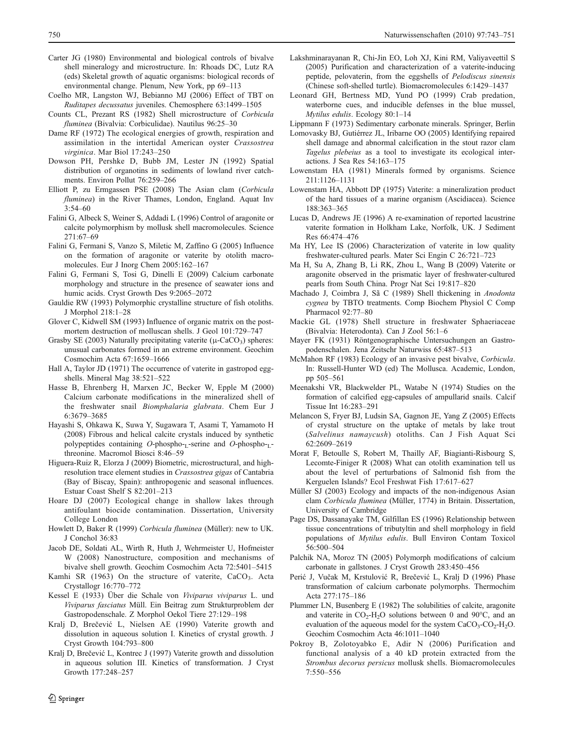- <span id="page-7-0"></span>Carter JG (1980) Environmental and biological controls of bivalve shell mineralogy and microstructure. In: Rhoads DC, Lutz RA (eds) Skeletal growth of aquatic organisms: biological records of environmental change. Plenum, New York, pp 69–113
- Coelho MR, Langston WJ, Bebianno MJ (2006) Effect of TBT on Ruditapes decussatus juveniles. Chemosphere 63:1499–1505
- Counts CL, Prezant RS (1982) Shell microstructure of Corbicula fluminea (Bivalvia: Corbiculidae). Nautilus 96:25–30
- Dame RF (1972) The ecological energies of growth, respiration and assimilation in the intertidal American oyster Crassostrea virginica. Mar Biol 17:243–250
- Dowson PH, Pershke D, Bubb JM, Lester JN (1992) Spatial distribution of organotins in sediments of lowland river catchments. Environ Pollut 76:259–266
- Elliott P, zu Ermgassen PSE (2008) The Asian clam (Corbicula fluminea) in the River Thames, London, England. Aquat Inv 3:54–60
- Falini G, Albeck S, Weiner S, Addadi L (1996) Control of aragonite or calcite polymorphism by mollusk shell macromolecules. Science 271:67–69
- Falini G, Fermani S, Vanzo S, Miletic M, Zaffino G (2005) Influence on the formation of aragonite or vaterite by otolith macromolecules. Eur J Inorg Chem 2005:162–167
- Falini G, Fermani S, Tosi G, Dinelli E (2009) Calcium carbonate morphology and structure in the presence of seawater ions and humic acids. Cryst Growth Des 9:2065–2072
- Gauldie RW (1993) Polymorphic crystalline structure of fish otoliths. J Morphol 218:1–28
- Glover C, Kidwell SM (1993) Influence of organic matrix on the postmortem destruction of molluscan shells. J Geol 101:729–747
- Grasby SE (2003) Naturally precipitating vaterite ( $\mu$ -CaCO<sub>3</sub>) spheres: unusual carbonates formed in an extreme environment. Geochim Cosmochim Acta 67:1659–1666
- Hall A, Taylor JD (1971) The occurrence of vaterite in gastropod eggshells. Mineral Mag 38:521–522
- Hasse B, Ehrenberg H, Marxen JC, Becker W, Epple M (2000) Calcium carbonate modifications in the mineralized shell of the freshwater snail Biomphalaria glabrata. Chem Eur J 6:3679–3685
- Hayashi S, Ohkawa K, Suwa Y, Sugawara T, Asami T, Yamamoto H (2008) Fibrous and helical calcite crystals induced by synthetic polypeptides containing O-phospho-L-serine and O-phospho-Lthreonine. Macromol Biosci 8:46–59
- Higuera-Ruiz R, Elorza J (2009) Biometric, microstructural, and highresolution trace element studies in Crassostrea gigas of Cantabria (Bay of Biscay, Spain): anthropogenic and seasonal influences. Estuar Coast Shelf S 82:201–213
- Hoare DJ (2007) Ecological change in shallow lakes through antifoulant biocide contamination. Dissertation, University College London
- Howlett D, Baker R (1999) Corbicula fluminea (Müller): new to UK. J Conchol 36:83
- Jacob DE, Soldati AL, Wirth R, Huth J, Wehrmeister U, Hofmeister W (2008) Nanostructure, composition and mechanisms of bivalve shell growth. Geochim Cosmochim Acta 72:5401–5415
- Kamhi SR (1963) On the structure of vaterite, CaCO<sub>3</sub>. Acta Crystallogr 16:770–772
- Kessel E (1933) Über die Schale von Viviparus viviparus L. und Viviparus fasciatus Müll. Ein Beitrag zum Strukturproblem der Gastropodenschale. Z Morphol Oekol Tiere 27:129–198
- Kralj D, Brečević L, Nielsen AE (1990) Vaterite growth and dissolution in aqueous solution I. Kinetics of crystal growth. J Cryst Growth 104:793–800
- Kralj D, Brečević L, Kontrec J (1997) Vaterite growth and dissolution in aqueous solution III. Kinetics of transformation. J Cryst Growth 177:248–257
- Lakshminarayanan R, Chi-Jin EO, Loh XJ, Kini RM, Valiyaveettil S (2005) Purification and characterization of a vaterite-inducing peptide, pelovaterin, from the eggshells of Pelodiscus sinensis (Chinese soft-shelled turtle). Biomacromolecules 6:1429–1437
- Leonard GH, Bertness MD, Yund PO (1999) Crab predation, waterborne cues, and inducible defenses in the blue mussel, Mytilus edulis. Ecology 80:1–14
- Lippmann F (1973) Sedimentary carbonate minerals. Springer, Berlin
- Lomovasky BJ, Gutiérrez JL, Iribarne OO (2005) Identifying repaired shell damage and abnormal calcification in the stout razor clam Tagelus plebeius as a tool to investigate its ecological interactions. J Sea Res 54:163–175
- Lowenstam HA (1981) Minerals formed by organisms. Science 211:1126–1131
- Lowenstam HA, Abbott DP (1975) Vaterite: a mineralization product of the hard tissues of a marine organism (Ascidiacea). Science 188:363–365
- Lucas D, Andrews JE (1996) A re-examination of reported lacustrine vaterite formation in Holkham Lake, Norfolk, UK. J Sediment Res 66:474–476
- Ma HY, Lee IS (2006) Characterization of vaterite in low quality freshwater-cultured pearls. Mater Sci Engin C 26:721–723
- Ma H, Su A, Zhang B, Li RK, Zhou L, Wang B (2009) Vaterite or aragonite observed in the prismatic layer of freshwater-cultured pearls from South China. Progr Nat Sci 19:817–820
- Machado J, Coimbra J, Sã C (1989) Shell thickening in Anodonta cygnea by TBTO treatments. Comp Biochem Physiol C Comp Pharmacol 92:77–80
- Mackie GL (1978) Shell structure in freshwater Sphaeriaceae (Bivalvia: Heterodonta). Can J Zool 56:1–6
- Mayer FK (1931) Röntgenographische Untersuchungen an Gastropodenschalen. Jena Zeitschr Naturwiss 65:487–513
- McMahon RF (1983) Ecology of an invasive pest bivalve, Corbicula. In: Russell-Hunter WD (ed) The Mollusca. Academic, London, pp 505–561
- Meenakshi VR, Blackwelder PL, Watabe N (1974) Studies on the formation of calcified egg-capsules of ampullarid snails. Calcif Tissue Int 16:283–291
- Melancon S, Fryer BJ, Ludsin SA, Gagnon JE, Yang Z (2005) Effects of crystal structure on the uptake of metals by lake trout (Salvelinus namaycush) otoliths. Can J Fish Aquat Sci 62:2609–2619
- Morat F, Betoulle S, Robert M, Thailly AF, Biagianti-Risbourg S, Lecomte-Finiger R (2008) What can otolith examination tell us about the level of perturbations of Salmonid fish from the Kerguelen Islands? Ecol Freshwat Fish 17:617–627
- Müller SJ (2003) Ecology and impacts of the non-indigenous Asian clam Corbicula fluminea (Müller, 1774) in Britain. Dissertation, University of Cambridge
- Page DS, Dassanayake TM, Gilfillan ES (1996) Relationship between tissue concentrations of tributyltin and shell morphology in field populations of Mytilus edulis. Bull Environ Contam Toxicol 56:500–504
- Palchik NA, Moroz TN (2005) Polymorph modifications of calcium carbonate in gallstones. J Cryst Growth 283:450–456
- Perić J, Vučak M, Krstulović R, Brečević L, Kralj D (1996) Phase transformation of calcium carbonate polymorphs. Thermochim Acta 277:175–186
- Plummer LN, Busenberg E (1982) The solubilities of calcite, aragonite and vaterite in  $CO_2-H_2O$  solutions between 0 and 90 $^{\circ}$ C, and an evaluation of the aqueous model for the system  $CaCO<sub>3</sub>-CO<sub>2</sub>-H<sub>2</sub>O$ . Geochim Cosmochim Acta 46:1011–1040
- Pokroy B, Zolotoyabko E, Adir N (2006) Purification and functional analysis of a 40 kD protein extracted from the Strombus decorus persicus mollusk shells. Biomacromolecules 7:550–556